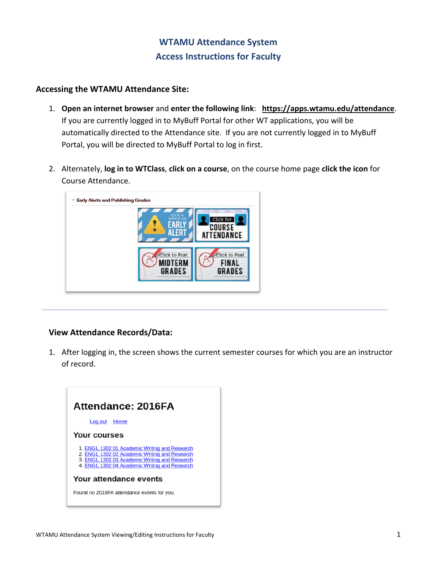# **WTAMU Attendance System Access Instructions for Faculty**

### **Accessing the WTAMU Attendance Site:**

- 1. **Open an internet browser** and **enter the following link**: **<https://apps.wtamu.edu/attendance>**. If you are currently logged in to MyBuff Portal for other WT applications, you will be automatically directed to the Attendance site. If you are not currently logged in to MyBuff Portal, you will be directed to MyBuff Portal to log in first.
- 2. Alternately, **log in to WTClass**, **click on a course**, on the course home page **click the icon** for Course Attendance.



## **View Attendance Records/Data:**

1. After logging in, the screen shows the current semester courses for which you are an instructor of record.

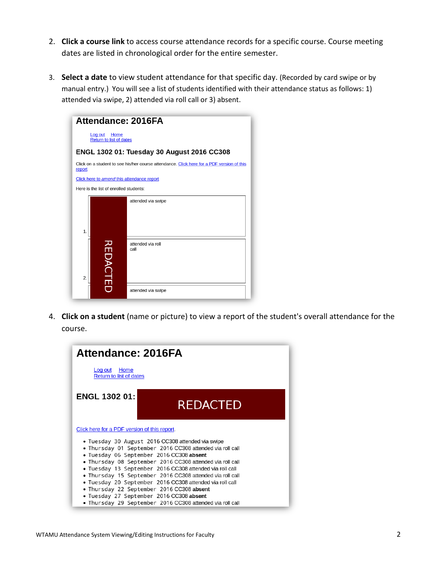- 2. **Click a course link** to access course attendance records for a specific course. Course meeting dates are listed in chronological order for the entire semester.
- 3. **Select a date** to view student attendance for that specific day. (Recorded by card swipe or by manual entry.) You will see a list of students identified with their attendance status as follows: 1) attended via swipe, 2) attended via roll call or 3) absent.

| <b>Attendance: 2016FA</b>                                                                           |                 |                           |
|-----------------------------------------------------------------------------------------------------|-----------------|---------------------------|
| Log out<br>Home<br><b>Return to list of dates</b>                                                   |                 |                           |
| ENGL 1302 01: Tuesday 30 August 2016 CC308                                                          |                 |                           |
| Click on a student to see his/her course attendance. Click here for a PDF version of this<br>report |                 |                           |
| Click here to amend this attendance report                                                          |                 |                           |
| Here is the list of enrolled students:                                                              |                 |                           |
| 1.                                                                                                  |                 | attended via swipe        |
| 2.                                                                                                  | <b>REDACTED</b> | attended via roll<br>call |
|                                                                                                     |                 | attended via swipe        |

4. **Click on a student** (name or picture) to view a report of the student's overall attendance for the course.

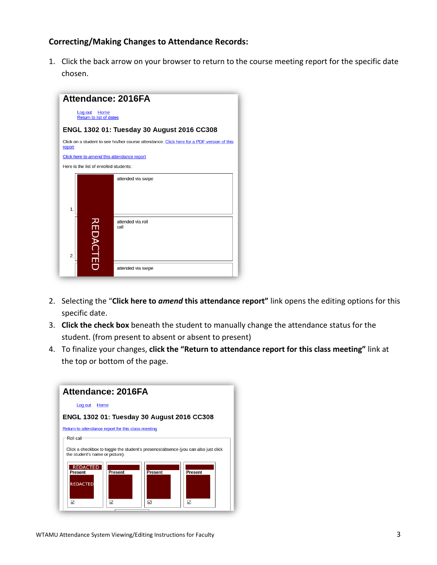### **Correcting/Making Changes to Attendance Records:**

1. Click the back arrow on your browser to return to the course meeting report for the specific date chosen.



- 2. Selecting the "**Click here to** *amend* **this attendance report"** link opens the editing options for this specific date.
- 3. **Click the check box** beneath the student to manually change the attendance status for the student. (from present to absent or absent to present)
- 4. To finalize your changes, **click the "Return to attendance report for this class meeting"** link at the top or bottom of the page.